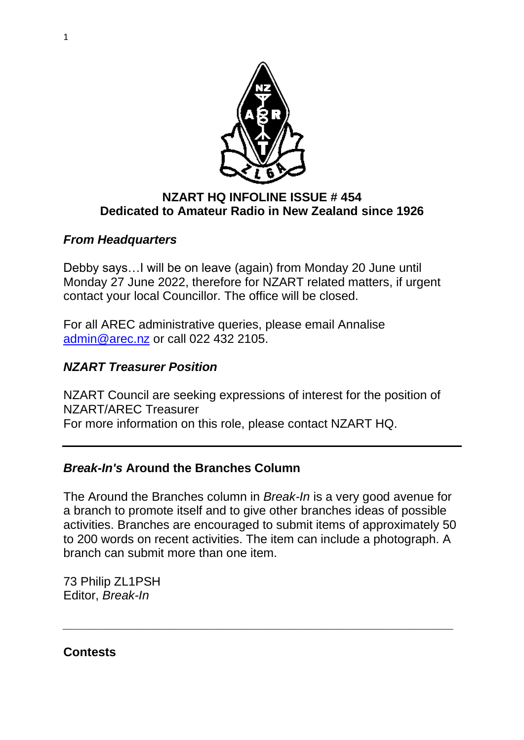

### **NZART HQ INFOLINE ISSUE # 454 Dedicated to Amateur Radio in New Zealand since 1926**

## *From Headquarters*

Debby says…I will be on leave (again) from Monday 20 June until Monday 27 June 2022, therefore for NZART related matters, if urgent contact your local Councillor. The office will be closed.

For all AREC administrative queries, please email Annalise [admin@arec.nz](mailto:admin@arec.nz) or call 022 432 2105.

## *NZART Treasurer Position*

NZART Council are seeking expressions of interest for the position of NZART/AREC Treasurer For more information on this role, please contact NZART HQ.

# *Break-In's* **Around the Branches Column**

The Around the Branches column in *Break-In* is a very good avenue for a branch to promote itself and to give other branches ideas of possible activities. Branches are encouraged to submit items of approximately 50 to 200 words on recent activities. The item can include a photograph. A branch can submit more than one item.

*\_\_\_\_\_\_\_\_\_\_\_\_\_\_\_\_\_\_\_\_\_\_\_\_\_\_\_\_\_\_\_\_\_\_\_\_\_\_\_\_\_\_\_\_\_\_\_\_\_\_\_\_\_\_\_\_\_*

73 Philip ZL1PSH Editor, *Break-In*

**Contests**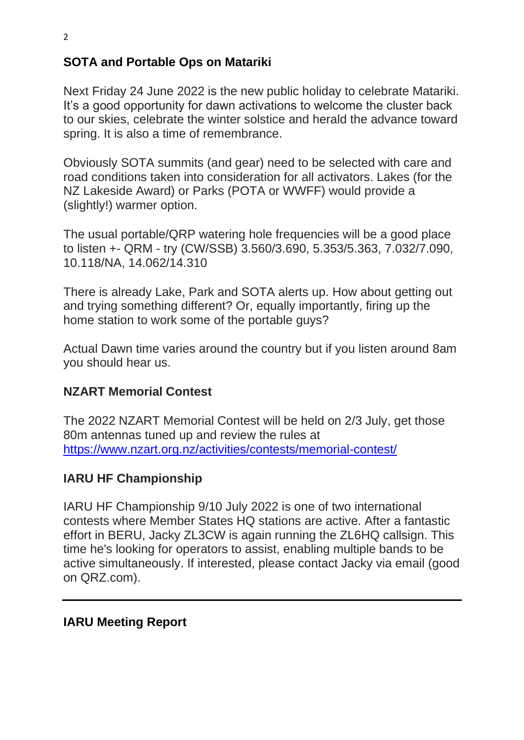# **SOTA and Portable Ops on Matariki**

Next Friday 24 June 2022 is the new public holiday to celebrate Matariki. It's a good opportunity for dawn activations to welcome the cluster back to our skies, celebrate the winter solstice and herald the advance toward spring. It is also a time of remembrance.

Obviously SOTA summits (and gear) need to be selected with care and road conditions taken into consideration for all activators. Lakes (for the NZ Lakeside Award) or Parks (POTA or WWFF) would provide a (slightly!) warmer option.

The usual portable/QRP watering hole frequencies will be a good place to listen +- QRM - try (CW/SSB) 3.560/3.690, 5.353/5.363, 7.032/7.090, 10.118/NA, 14.062/14.310

There is already Lake, Park and SOTA alerts up. How about getting out and trying something different? Or, equally importantly, firing up the home station to work some of the portable guys?

Actual Dawn time varies around the country but if you listen around 8am you should hear us.

#### **NZART Memorial Contest**

The 2022 NZART Memorial Contest will be held on 2/3 July, get those 80m antennas tuned up and review the rules at <https://www.nzart.org.nz/activities/contests/memorial-contest/>

#### **IARU HF Championship**

IARU HF Championship 9/10 July 2022 is one of two international contests where Member States HQ stations are active. After a fantastic effort in BERU, Jacky ZL3CW is again running the ZL6HQ callsign. This time he's looking for operators to assist, enabling multiple bands to be active simultaneously. If interested, please contact Jacky via email (good on QRZ.com).

#### **IARU Meeting Report**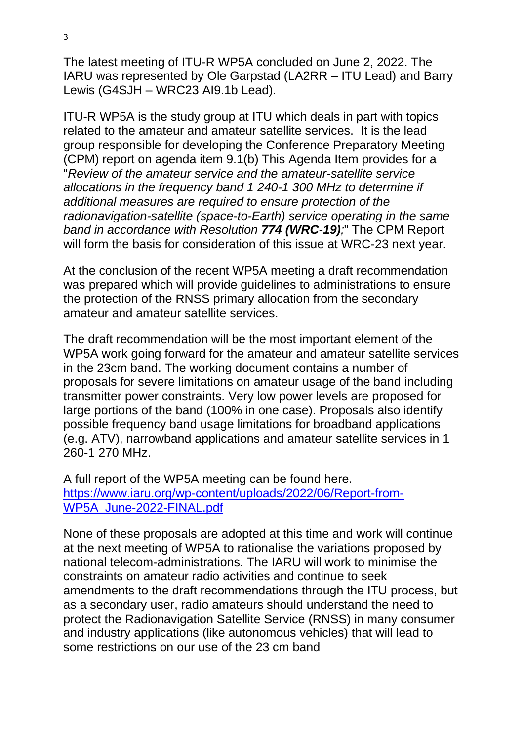The latest meeting of ITU-R WP5A concluded on June 2, 2022. The IARU was represented by Ole Garpstad (LA2RR – ITU Lead) and Barry Lewis (G4SJH – WRC23 AI9.1b Lead).

ITU-R WP5A is the study group at ITU which deals in part with topics related to the amateur and amateur satellite services. It is the lead group responsible for developing the Conference Preparatory Meeting (CPM) report on agenda item 9.1(b) This Agenda Item provides for a "*Review of the amateur service and the amateur-satellite service allocations in the frequency band 1 240-1 300 MHz to determine if additional measures are required to ensure protection of the radionavigation-satellite (space-to-Earth) service operating in the same band in accordance with Resolution 774 (WRC-19);*" The CPM Report will form the basis for consideration of this issue at WRC-23 next year.

At the conclusion of the recent WP5A meeting a draft recommendation was prepared which will provide guidelines to administrations to ensure the protection of the RNSS primary allocation from the secondary amateur and amateur satellite services.

The draft recommendation will be the most important element of the WP5A work going forward for the amateur and amateur satellite services in the 23cm band. The working document contains a number of proposals for severe limitations on amateur usage of the band including transmitter power constraints. Very low power levels are proposed for large portions of the band (100% in one case). Proposals also identify possible frequency band usage limitations for broadband applications (e.g. ATV), narrowband applications and amateur satellite services in 1 260-1 270 MHz.

A full report of the WP5A meeting can be found here. [https://www.iaru.org/wp-content/uploads/2022/06/Report-from-](https://can01.safelinks.protection.outlook.com/?url=https%3A%2F%2Fwww.iaru.org%2Fwp-content%2Fuploads%2F2022%2F06%2FReport-from-WP5A_June-2022-FINAL.pdf&data=05%7C01%7Ctellam%40mccarthy.ca%7Ca670a14a2a174f87138308da4e33b056%7Cf24697e9ab2e463e89aa39af94aac362%7C1%7C0%7C637908281279983381%7CUnknown%7CTWFpbGZsb3d8eyJWIjoiMC4wLjAwMDAiLCJQIjoiV2luMzIiLCJBTiI6Ik1haWwiLCJXVCI6Mn0%3D%7C3000%7C%7C%7C&sdata=YIBx%2BYxRPgYTA3ypDEpPGwN5iQ0nrU0Roq1004ksV8A%3D&reserved=0)[WP5A\\_June-2022-FINAL.pdf](https://can01.safelinks.protection.outlook.com/?url=https%3A%2F%2Fwww.iaru.org%2Fwp-content%2Fuploads%2F2022%2F06%2FReport-from-WP5A_June-2022-FINAL.pdf&data=05%7C01%7Ctellam%40mccarthy.ca%7Ca670a14a2a174f87138308da4e33b056%7Cf24697e9ab2e463e89aa39af94aac362%7C1%7C0%7C637908281279983381%7CUnknown%7CTWFpbGZsb3d8eyJWIjoiMC4wLjAwMDAiLCJQIjoiV2luMzIiLCJBTiI6Ik1haWwiLCJXVCI6Mn0%3D%7C3000%7C%7C%7C&sdata=YIBx%2BYxRPgYTA3ypDEpPGwN5iQ0nrU0Roq1004ksV8A%3D&reserved=0)

None of these proposals are adopted at this time and work will continue at the next meeting of WP5A to rationalise the variations proposed by national telecom-administrations. The IARU will work to minimise the constraints on amateur radio activities and continue to seek amendments to the draft recommendations through the ITU process, but as a secondary user, radio amateurs should understand the need to protect the Radionavigation Satellite Service (RNSS) in many consumer and industry applications (like autonomous vehicles) that will lead to some restrictions on our use of the 23 cm band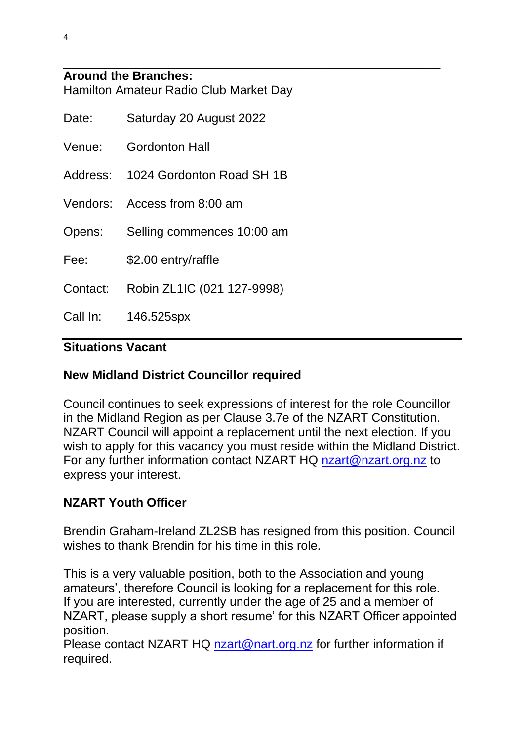#### **Around the Branches:** Hamilton Amateur Radio Club Market Day

| Date: | Saturday 20 August 2022             |
|-------|-------------------------------------|
|       | Venue: Gordonton Hall               |
|       | Address: 1024 Gordonton Road SH 1B  |
|       | Vendors: Access from 8:00 am        |
|       | Opens: Selling commences 10:00 am   |
| Fee:  | \$2.00 entry/raffle                 |
|       | Contact: Robin ZL1IC (021 127-9998) |
|       | Call In: 146.525spx                 |
|       |                                     |

# **Situations Vacant**

### **New Midland District Councillor required**

Council continues to seek expressions of interest for the role Councillor in the Midland Region as per Clause 3.7e of the NZART Constitution. NZART Council will appoint a replacement until the next election. If you wish to apply for this vacancy you must reside within the Midland District. For any further information contact NZART HQ [nzart@nzart.org.nz](mailto:nzart@nzart.org.nz) to express your interest.

\_\_\_\_\_\_\_\_\_\_\_\_\_\_\_\_\_\_\_\_\_\_\_\_\_\_\_\_\_\_\_\_\_\_\_\_\_\_\_\_\_\_\_\_\_\_\_\_\_\_\_\_\_\_\_

# **NZART Youth Officer**

Brendin Graham-Ireland ZL2SB has resigned from this position. Council wishes to thank Brendin for his time in this role.

This is a very valuable position, both to the Association and young amateurs', therefore Council is looking for a replacement for this role. If you are interested, currently under the age of 25 and a member of NZART, please supply a short resume' for this NZART Officer appointed position.

Please contact NZART HQ [nzart@nart.org.nz](mailto:nzart@nart.org.nz) for further information if required.